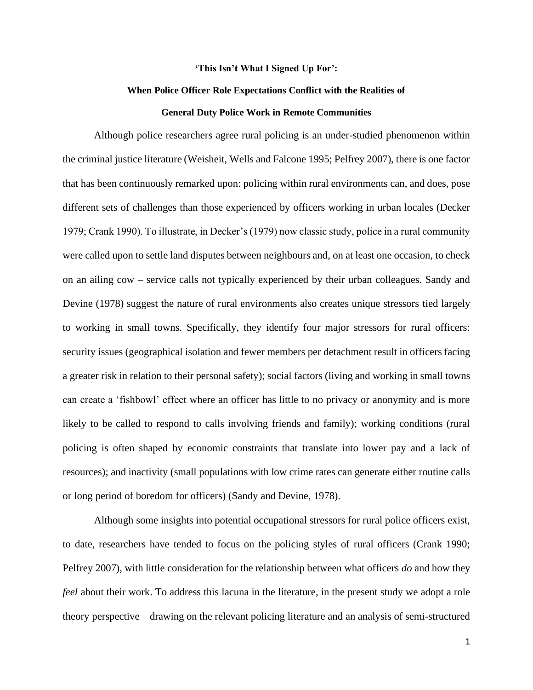# **'This Isn't What I Signed Up For':**

## **When Police Officer Role Expectations Conflict with the Realities of**

# **General Duty Police Work in Remote Communities**

Although police researchers agree rural policing is an under-studied phenomenon within the criminal justice literature (Weisheit, Wells and Falcone 1995; Pelfrey 2007), there is one factor that has been continuously remarked upon: policing within rural environments can, and does, pose different sets of challenges than those experienced by officers working in urban locales (Decker 1979; Crank 1990). To illustrate, in Decker's (1979) now classic study, police in a rural community were called upon to settle land disputes between neighbours and, on at least one occasion, to check on an ailing cow – service calls not typically experienced by their urban colleagues. Sandy and Devine (1978) suggest the nature of rural environments also creates unique stressors tied largely to working in small towns. Specifically, they identify four major stressors for rural officers: security issues (geographical isolation and fewer members per detachment result in officers facing a greater risk in relation to their personal safety); social factors (living and working in small towns can create a 'fishbowl' effect where an officer has little to no privacy or anonymity and is more likely to be called to respond to calls involving friends and family); working conditions (rural policing is often shaped by economic constraints that translate into lower pay and a lack of resources); and inactivity (small populations with low crime rates can generate either routine calls or long period of boredom for officers) (Sandy and Devine, 1978).

Although some insights into potential occupational stressors for rural police officers exist, to date, researchers have tended to focus on the policing styles of rural officers (Crank 1990; Pelfrey 2007), with little consideration for the relationship between what officers *do* and how they *feel* about their work. To address this lacuna in the literature, in the present study we adopt a role theory perspective – drawing on the relevant policing literature and an analysis of semi-structured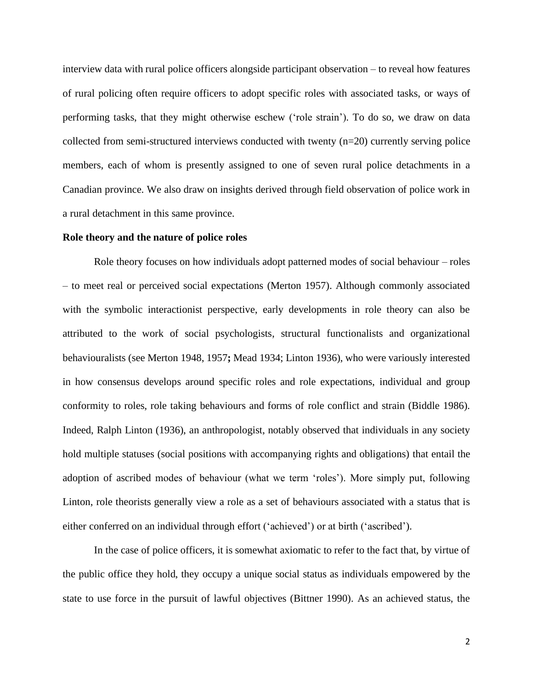interview data with rural police officers alongside participant observation – to reveal how features of rural policing often require officers to adopt specific roles with associated tasks, or ways of performing tasks, that they might otherwise eschew ('role strain'). To do so, we draw on data collected from semi-structured interviews conducted with twenty (n=20) currently serving police members, each of whom is presently assigned to one of seven rural police detachments in a Canadian province. We also draw on insights derived through field observation of police work in a rural detachment in this same province.

# **Role theory and the nature of police roles**

Role theory focuses on how individuals adopt patterned modes of social behaviour – roles – to meet real or perceived social expectations (Merton 1957). Although commonly associated with the symbolic interactionist perspective, early developments in role theory can also be attributed to the work of social psychologists, structural functionalists and organizational behaviouralists (see Merton 1948, 1957**;** Mead 1934; Linton 1936), who were variously interested in how consensus develops around specific roles and role expectations, individual and group conformity to roles, role taking behaviours and forms of role conflict and strain (Biddle 1986). Indeed, Ralph Linton (1936), an anthropologist, notably observed that individuals in any society hold multiple statuses (social positions with accompanying rights and obligations) that entail the adoption of ascribed modes of behaviour (what we term 'roles'). More simply put, following Linton, role theorists generally view a role as a set of behaviours associated with a status that is either conferred on an individual through effort ('achieved') or at birth ('ascribed').

In the case of police officers, it is somewhat axiomatic to refer to the fact that, by virtue of the public office they hold, they occupy a unique social status as individuals empowered by the state to use force in the pursuit of lawful objectives (Bittner 1990). As an achieved status, the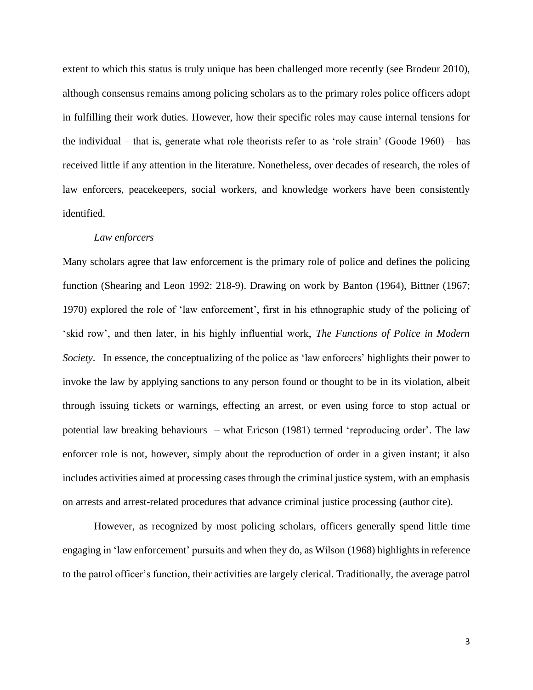extent to which this status is truly unique has been challenged more recently (see Brodeur 2010), although consensus remains among policing scholars as to the primary roles police officers adopt in fulfilling their work duties. However, how their specific roles may cause internal tensions for the individual – that is, generate what role theorists refer to as 'role strain' (Goode 1960) – has received little if any attention in the literature. Nonetheless, over decades of research, the roles of law enforcers, peacekeepers, social workers, and knowledge workers have been consistently identified.

# *Law enforcers*

Many scholars agree that law enforcement is the primary role of police and defines the policing function (Shearing and Leon 1992: 218-9). Drawing on work by Banton (1964), Bittner (1967; 1970) explored the role of 'law enforcement', first in his ethnographic study of the policing of 'skid row', and then later, in his highly influential work, *The Functions of Police in Modern Society*. In essence, the conceptualizing of the police as 'law enforcers' highlights their power to invoke the law by applying sanctions to any person found or thought to be in its violation, albeit through issuing tickets or warnings, effecting an arrest, or even using force to stop actual or potential law breaking behaviours – what Ericson (1981) termed 'reproducing order'. The law enforcer role is not, however, simply about the reproduction of order in a given instant; it also includes activities aimed at processing cases through the criminal justice system, with an emphasis on arrests and arrest-related procedures that advance criminal justice processing (author cite).

However, as recognized by most policing scholars, officers generally spend little time engaging in 'law enforcement' pursuits and when they do, as Wilson (1968) highlights in reference to the patrol officer's function, their activities are largely clerical. Traditionally, the average patrol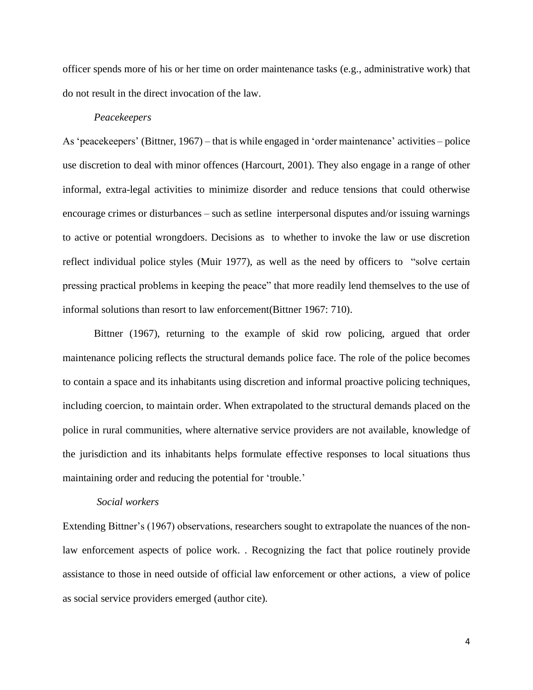officer spends more of his or her time on order maintenance tasks (e.g., administrative work) that do not result in the direct invocation of the law.

# *Peacekeepers*

As 'peacekeepers' (Bittner, 1967) – that is while engaged in 'order maintenance' activities – police use discretion to deal with minor offences (Harcourt, 2001). They also engage in a range of other informal, extra-legal activities to minimize disorder and reduce tensions that could otherwise encourage crimes or disturbances – such as setline interpersonal disputes and/or issuing warnings to active or potential wrongdoers. Decisions as to whether to invoke the law or use discretion reflect individual police styles (Muir 1977), as well as the need by officers to "solve certain pressing practical problems in keeping the peace" that more readily lend themselves to the use of informal solutions than resort to law enforcement(Bittner 1967: 710).

Bittner (1967), returning to the example of skid row policing, argued that order maintenance policing reflects the structural demands police face. The role of the police becomes to contain a space and its inhabitants using discretion and informal proactive policing techniques, including coercion, to maintain order. When extrapolated to the structural demands placed on the police in rural communities, where alternative service providers are not available, knowledge of the jurisdiction and its inhabitants helps formulate effective responses to local situations thus maintaining order and reducing the potential for 'trouble.'

# *Social workers*

Extending Bittner's (1967) observations, researchers sought to extrapolate the nuances of the nonlaw enforcement aspects of police work. . Recognizing the fact that police routinely provide assistance to those in need outside of official law enforcement or other actions, a view of police as social service providers emerged (author cite).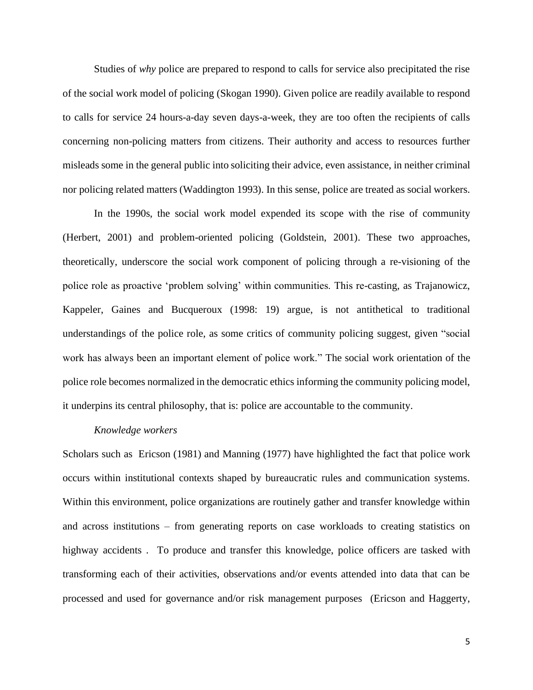Studies of *why* police are prepared to respond to calls for service also precipitated the rise of the social work model of policing (Skogan 1990). Given police are readily available to respond to calls for service 24 hours-a-day seven days-a-week, they are too often the recipients of calls concerning non-policing matters from citizens. Their authority and access to resources further misleads some in the general public into soliciting their advice, even assistance, in neither criminal nor policing related matters (Waddington 1993). In this sense, police are treated as social workers.

In the 1990s, the social work model expended its scope with the rise of community (Herbert, 2001) and problem-oriented policing (Goldstein, 2001). These two approaches, theoretically, underscore the social work component of policing through a re-visioning of the police role as proactive 'problem solving' within communities. This re-casting, as Trajanowicz, Kappeler, Gaines and Bucqueroux (1998: 19) argue, is not antithetical to traditional understandings of the police role, as some critics of community policing suggest, given "social work has always been an important element of police work." The social work orientation of the police role becomes normalized in the democratic ethics informing the community policing model, it underpins its central philosophy, that is: police are accountable to the community.

#### *Knowledge workers*

Scholars such as Ericson (1981) and Manning (1977) have highlighted the fact that police work occurs within institutional contexts shaped by bureaucratic rules and communication systems. Within this environment, police organizations are routinely gather and transfer knowledge within and across institutions – from generating reports on case workloads to creating statistics on highway accidents . To produce and transfer this knowledge, police officers are tasked with transforming each of their activities, observations and/or events attended into data that can be processed and used for governance and/or risk management purposes (Ericson and Haggerty,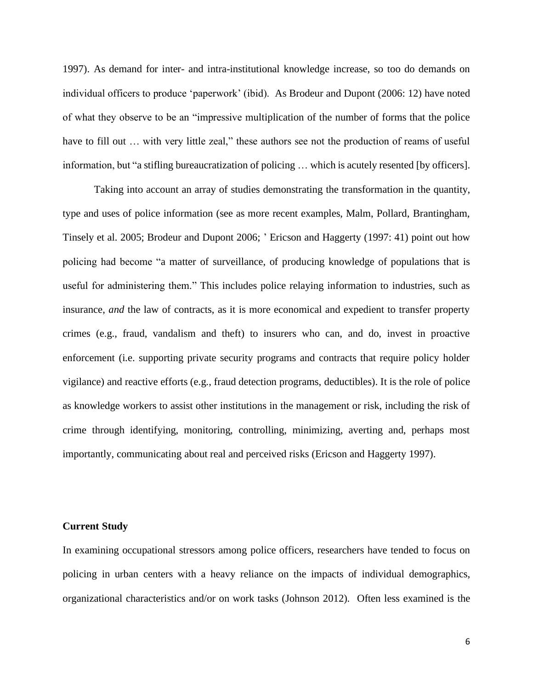1997). As demand for inter- and intra-institutional knowledge increase, so too do demands on individual officers to produce 'paperwork' (ibid). As Brodeur and Dupont (2006: 12) have noted of what they observe to be an "impressive multiplication of the number of forms that the police have to fill out ... with very little zeal," these authors see not the production of reams of useful information, but "a stifling bureaucratization of policing … which is acutely resented [by officers].

Taking into account an array of studies demonstrating the transformation in the quantity, type and uses of police information (see as more recent examples, Malm, Pollard, Brantingham, Tinsely et al. 2005; Brodeur and Dupont 2006; ' Ericson and Haggerty (1997: 41) point out how policing had become "a matter of surveillance, of producing knowledge of populations that is useful for administering them." This includes police relaying information to industries, such as insurance, *and* the law of contracts, as it is more economical and expedient to transfer property crimes (e.g., fraud, vandalism and theft) to insurers who can, and do, invest in proactive enforcement (i.e. supporting private security programs and contracts that require policy holder vigilance) and reactive efforts (e.g., fraud detection programs, deductibles). It is the role of police as knowledge workers to assist other institutions in the management or risk, including the risk of crime through identifying, monitoring, controlling, minimizing, averting and, perhaps most importantly, communicating about real and perceived risks (Ericson and Haggerty 1997).

#### **Current Study**

In examining occupational stressors among police officers, researchers have tended to focus on policing in urban centers with a heavy reliance on the impacts of individual demographics, organizational characteristics and/or on work tasks (Johnson 2012). Often less examined is the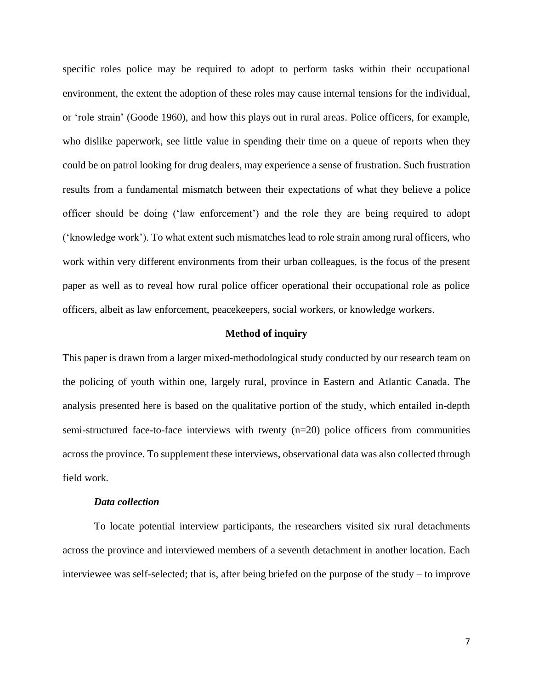specific roles police may be required to adopt to perform tasks within their occupational environment, the extent the adoption of these roles may cause internal tensions for the individual, or 'role strain' (Goode 1960), and how this plays out in rural areas. Police officers, for example, who dislike paperwork, see little value in spending their time on a queue of reports when they could be on patrol looking for drug dealers, may experience a sense of frustration. Such frustration results from a fundamental mismatch between their expectations of what they believe a police officer should be doing ('law enforcement') and the role they are being required to adopt ('knowledge work'). To what extent such mismatches lead to role strain among rural officers, who work within very different environments from their urban colleagues, is the focus of the present paper as well as to reveal how rural police officer operational their occupational role as police officers, albeit as law enforcement, peacekeepers, social workers, or knowledge workers.

#### **Method of inquiry**

This paper is drawn from a larger mixed-methodological study conducted by our research team on the policing of youth within one, largely rural, province in Eastern and Atlantic Canada. The analysis presented here is based on the qualitative portion of the study, which entailed in-depth semi-structured face-to-face interviews with twenty (n=20) police officers from communities across the province. To supplement these interviews, observational data was also collected through field work.

# *Data collection*

To locate potential interview participants, the researchers visited six rural detachments across the province and interviewed members of a seventh detachment in another location. Each interviewee was self-selected; that is, after being briefed on the purpose of the study – to improve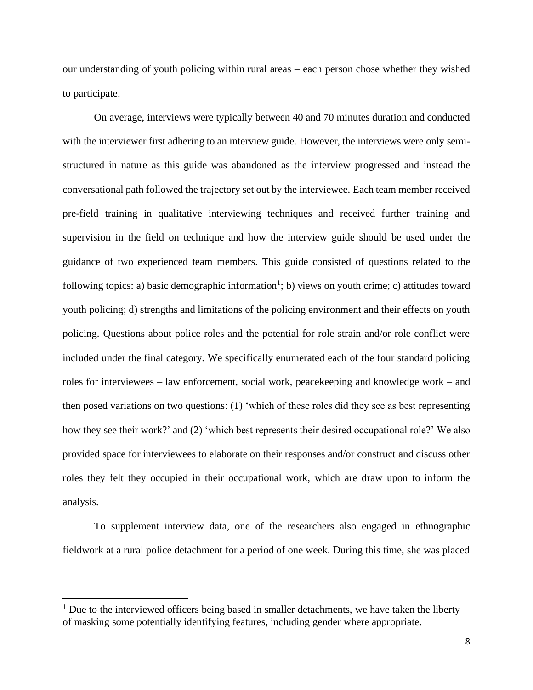our understanding of youth policing within rural areas – each person chose whether they wished to participate.

On average, interviews were typically between 40 and 70 minutes duration and conducted with the interviewer first adhering to an interview guide. However, the interviews were only semistructured in nature as this guide was abandoned as the interview progressed and instead the conversational path followed the trajectory set out by the interviewee. Each team member received pre-field training in qualitative interviewing techniques and received further training and supervision in the field on technique and how the interview guide should be used under the guidance of two experienced team members. This guide consisted of questions related to the following topics: a) basic demographic information<sup>1</sup>; b) views on youth crime; c) attitudes toward youth policing; d) strengths and limitations of the policing environment and their effects on youth policing. Questions about police roles and the potential for role strain and/or role conflict were included under the final category. We specifically enumerated each of the four standard policing roles for interviewees – law enforcement, social work, peacekeeping and knowledge work – and then posed variations on two questions: (1) 'which of these roles did they see as best representing how they see their work?' and (2) 'which best represents their desired occupational role?' We also provided space for interviewees to elaborate on their responses and/or construct and discuss other roles they felt they occupied in their occupational work, which are draw upon to inform the analysis.

To supplement interview data, one of the researchers also engaged in ethnographic fieldwork at a rural police detachment for a period of one week. During this time, she was placed

 $<sup>1</sup>$  Due to the interviewed officers being based in smaller detachments, we have taken the liberty</sup> of masking some potentially identifying features, including gender where appropriate.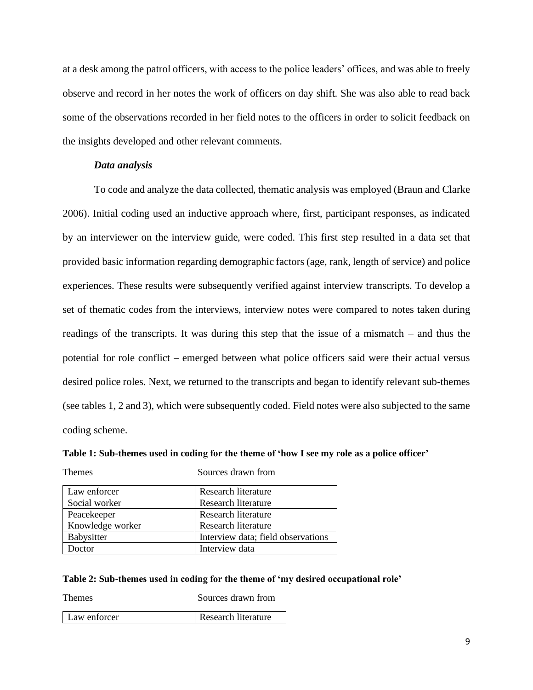at a desk among the patrol officers, with access to the police leaders' offices, and was able to freely observe and record in her notes the work of officers on day shift. She was also able to read back some of the observations recorded in her field notes to the officers in order to solicit feedback on the insights developed and other relevant comments.

# *Data analysis*

To code and analyze the data collected, thematic analysis was employed (Braun and Clarke 2006). Initial coding used an inductive approach where, first, participant responses, as indicated by an interviewer on the interview guide, were coded. This first step resulted in a data set that provided basic information regarding demographic factors (age, rank, length of service) and police experiences. These results were subsequently verified against interview transcripts. To develop a set of thematic codes from the interviews, interview notes were compared to notes taken during readings of the transcripts. It was during this step that the issue of a mismatch – and thus the potential for role conflict – emerged between what police officers said were their actual versus desired police roles. Next, we returned to the transcripts and began to identify relevant sub-themes (see tables 1, 2 and 3), which were subsequently coded. Field notes were also subjected to the same coding scheme.

#### **Table 1: Sub-themes used in coding for the theme of 'how I see my role as a police officer'**

Themes Sources drawn from

| Law enforcer     | Research literature                |
|------------------|------------------------------------|
| Social worker    | Research literature                |
| Peacekeeper      | Research literature                |
| Knowledge worker | Research literature                |
| Babysitter       | Interview data; field observations |
| <b>Doctor</b>    | Interview data                     |

#### **Table 2: Sub-themes used in coding for the theme of 'my desired occupational role'**

| <b>Themes</b> | Sources drawn from  |
|---------------|---------------------|
| Law enforcer  | Research literature |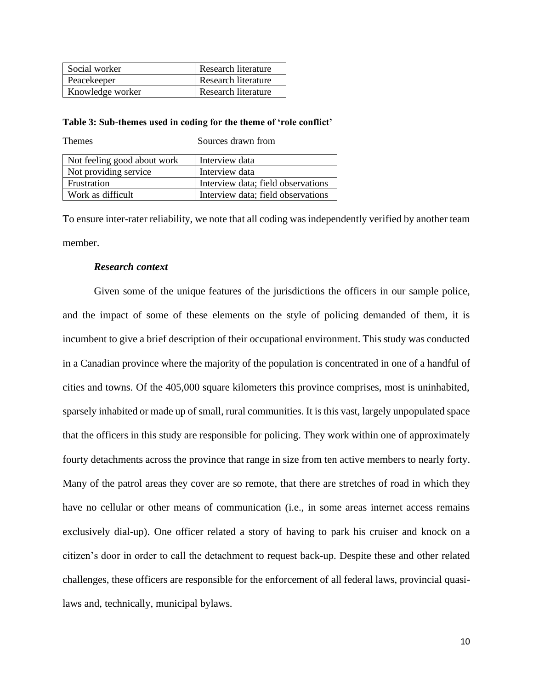| Social worker    | Research literature        |
|------------------|----------------------------|
| Peacekeeper      | <b>Research literature</b> |
| Knowledge worker | Research literature        |

## **Table 3: Sub-themes used in coding for the theme of 'role conflict'**

| <b>Themes</b>               | Sources drawn from                 |
|-----------------------------|------------------------------------|
| Not feeling good about work | Interview data                     |
| Not providing service       | Interview data                     |
| Frustration                 | Interview data; field observations |
| Work as difficult           | Interview data; field observations |

To ensure inter-rater reliability, we note that all coding was independently verified by another team member.

### *Research context*

Given some of the unique features of the jurisdictions the officers in our sample police, and the impact of some of these elements on the style of policing demanded of them, it is incumbent to give a brief description of their occupational environment. This study was conducted in a Canadian province where the majority of the population is concentrated in one of a handful of cities and towns. Of the 405,000 square kilometers this province comprises, most is uninhabited, sparsely inhabited or made up of small, rural communities. It is this vast, largely unpopulated space that the officers in this study are responsible for policing. They work within one of approximately fourty detachments across the province that range in size from ten active members to nearly forty. Many of the patrol areas they cover are so remote, that there are stretches of road in which they have no cellular or other means of communication (i.e., in some areas internet access remains exclusively dial-up). One officer related a story of having to park his cruiser and knock on a citizen's door in order to call the detachment to request back-up. Despite these and other related challenges, these officers are responsible for the enforcement of all federal laws, provincial quasilaws and, technically, municipal bylaws.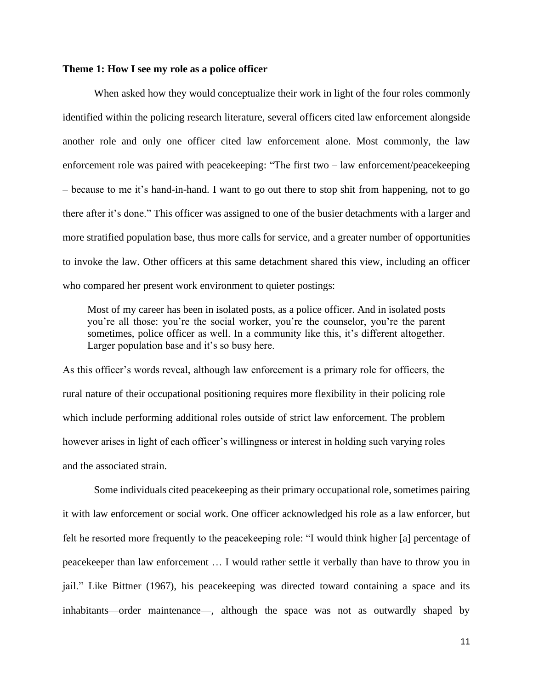# **Theme 1: How I see my role as a police officer**

When asked how they would conceptualize their work in light of the four roles commonly identified within the policing research literature, several officers cited law enforcement alongside another role and only one officer cited law enforcement alone. Most commonly, the law enforcement role was paired with peacekeeping: "The first two – law enforcement/peacekeeping – because to me it's hand-in-hand. I want to go out there to stop shit from happening, not to go there after it's done." This officer was assigned to one of the busier detachments with a larger and more stratified population base, thus more calls for service, and a greater number of opportunities to invoke the law. Other officers at this same detachment shared this view, including an officer who compared her present work environment to quieter postings:

Most of my career has been in isolated posts, as a police officer. And in isolated posts you're all those: you're the social worker, you're the counselor, you're the parent sometimes, police officer as well. In a community like this, it's different altogether. Larger population base and it's so busy here.

As this officer's words reveal, although law enforcement is a primary role for officers, the rural nature of their occupational positioning requires more flexibility in their policing role which include performing additional roles outside of strict law enforcement. The problem however arises in light of each officer's willingness or interest in holding such varying roles and the associated strain.

Some individuals cited peacekeeping as their primary occupational role, sometimes pairing it with law enforcement or social work. One officer acknowledged his role as a law enforcer, but felt he resorted more frequently to the peacekeeping role: "I would think higher [a] percentage of peacekeeper than law enforcement … I would rather settle it verbally than have to throw you in jail." Like Bittner (1967), his peacekeeping was directed toward containing a space and its inhabitants—order maintenance—, although the space was not as outwardly shaped by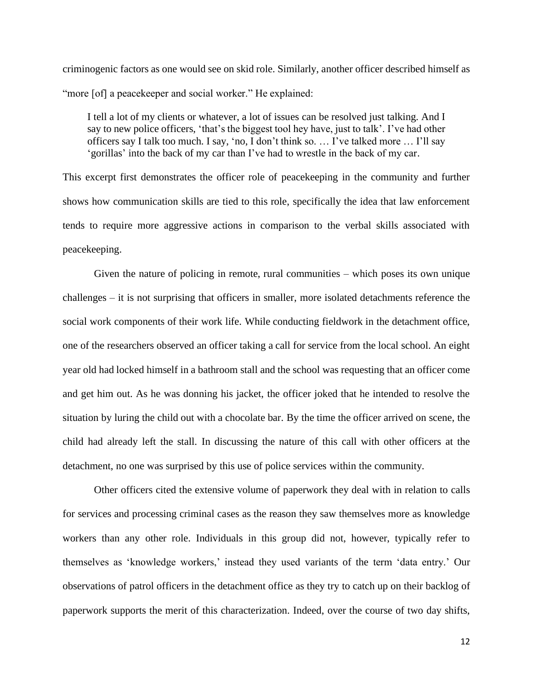criminogenic factors as one would see on skid role. Similarly, another officer described himself as "more [of] a peacekeeper and social worker." He explained:

I tell a lot of my clients or whatever, a lot of issues can be resolved just talking. And I say to new police officers, 'that's the biggest tool hey have, just to talk'. I've had other officers say I talk too much. I say, 'no, I don't think so. … I've talked more … I'll say 'gorillas' into the back of my car than I've had to wrestle in the back of my car.

This excerpt first demonstrates the officer role of peacekeeping in the community and further shows how communication skills are tied to this role, specifically the idea that law enforcement tends to require more aggressive actions in comparison to the verbal skills associated with peacekeeping.

Given the nature of policing in remote, rural communities – which poses its own unique challenges – it is not surprising that officers in smaller, more isolated detachments reference the social work components of their work life. While conducting fieldwork in the detachment office, one of the researchers observed an officer taking a call for service from the local school. An eight year old had locked himself in a bathroom stall and the school was requesting that an officer come and get him out. As he was donning his jacket, the officer joked that he intended to resolve the situation by luring the child out with a chocolate bar. By the time the officer arrived on scene, the child had already left the stall. In discussing the nature of this call with other officers at the detachment, no one was surprised by this use of police services within the community.

Other officers cited the extensive volume of paperwork they deal with in relation to calls for services and processing criminal cases as the reason they saw themselves more as knowledge workers than any other role. Individuals in this group did not, however, typically refer to themselves as 'knowledge workers,' instead they used variants of the term 'data entry.' Our observations of patrol officers in the detachment office as they try to catch up on their backlog of paperwork supports the merit of this characterization. Indeed, over the course of two day shifts,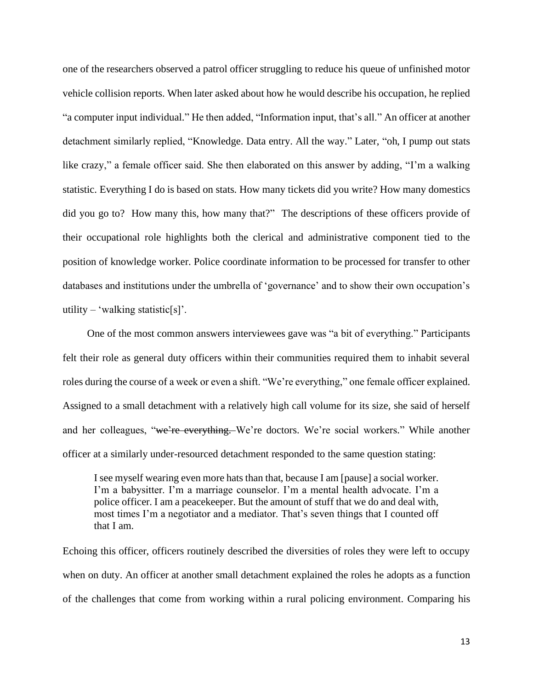one of the researchers observed a patrol officer struggling to reduce his queue of unfinished motor vehicle collision reports. When later asked about how he would describe his occupation, he replied "a computer input individual." He then added, "Information input, that's all." An officer at another detachment similarly replied, "Knowledge. Data entry. All the way." Later, "oh, I pump out stats like crazy," a female officer said. She then elaborated on this answer by adding, "I'm a walking statistic. Everything I do is based on stats. How many tickets did you write? How many domestics did you go to? How many this, how many that?" The descriptions of these officers provide of their occupational role highlights both the clerical and administrative component tied to the position of knowledge worker. Police coordinate information to be processed for transfer to other databases and institutions under the umbrella of 'governance' and to show their own occupation's utility – 'walking statistic[s]'.

One of the most common answers interviewees gave was "a bit of everything." Participants felt their role as general duty officers within their communities required them to inhabit several roles during the course of a week or even a shift. "We're everything," one female officer explained. Assigned to a small detachment with a relatively high call volume for its size, she said of herself and her colleagues, "we're everything. We're doctors. We're social workers." While another officer at a similarly under-resourced detachment responded to the same question stating:

I see myself wearing even more hats than that, because I am [pause] a social worker. I'm a babysitter. I'm a marriage counselor. I'm a mental health advocate. I'm a police officer. I am a peacekeeper. But the amount of stuff that we do and deal with, most times I'm a negotiator and a mediator. That's seven things that I counted off that I am.

Echoing this officer, officers routinely described the diversities of roles they were left to occupy when on duty. An officer at another small detachment explained the roles he adopts as a function of the challenges that come from working within a rural policing environment. Comparing his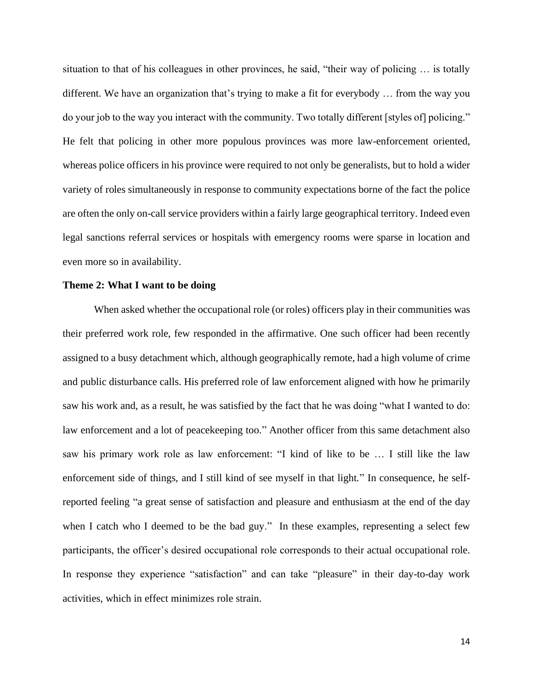situation to that of his colleagues in other provinces, he said, "their way of policing … is totally different. We have an organization that's trying to make a fit for everybody … from the way you do your job to the way you interact with the community. Two totally different [styles of] policing." He felt that policing in other more populous provinces was more law-enforcement oriented, whereas police officers in his province were required to not only be generalists, but to hold a wider variety of roles simultaneously in response to community expectations borne of the fact the police are often the only on-call service providers within a fairly large geographical territory. Indeed even legal sanctions referral services or hospitals with emergency rooms were sparse in location and even more so in availability.

#### **Theme 2: What I want to be doing**

When asked whether the occupational role (or roles) officers play in their communities was their preferred work role, few responded in the affirmative. One such officer had been recently assigned to a busy detachment which, although geographically remote, had a high volume of crime and public disturbance calls. His preferred role of law enforcement aligned with how he primarily saw his work and, as a result, he was satisfied by the fact that he was doing "what I wanted to do: law enforcement and a lot of peacekeeping too." Another officer from this same detachment also saw his primary work role as law enforcement: "I kind of like to be … I still like the law enforcement side of things, and I still kind of see myself in that light." In consequence, he selfreported feeling "a great sense of satisfaction and pleasure and enthusiasm at the end of the day when I catch who I deemed to be the bad guy." In these examples, representing a select few participants, the officer's desired occupational role corresponds to their actual occupational role. In response they experience "satisfaction" and can take "pleasure" in their day-to-day work activities, which in effect minimizes role strain.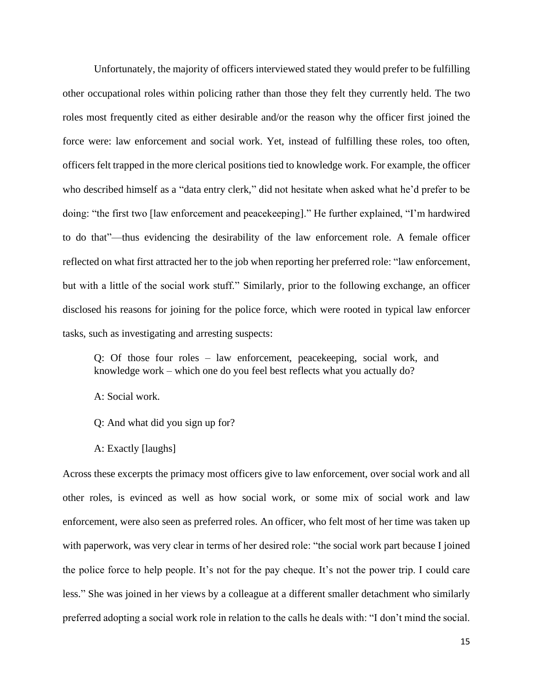Unfortunately, the majority of officers interviewed stated they would prefer to be fulfilling other occupational roles within policing rather than those they felt they currently held. The two roles most frequently cited as either desirable and/or the reason why the officer first joined the force were: law enforcement and social work. Yet, instead of fulfilling these roles, too often, officers felt trapped in the more clerical positions tied to knowledge work. For example, the officer who described himself as a "data entry clerk," did not hesitate when asked what he'd prefer to be doing: "the first two [law enforcement and peacekeeping]." He further explained, "I'm hardwired to do that"—thus evidencing the desirability of the law enforcement role. A female officer reflected on what first attracted her to the job when reporting her preferred role: "law enforcement, but with a little of the social work stuff." Similarly, prior to the following exchange, an officer disclosed his reasons for joining for the police force, which were rooted in typical law enforcer tasks, such as investigating and arresting suspects:

Q: Of those four roles – law enforcement, peacekeeping, social work, and knowledge work – which one do you feel best reflects what you actually do?

A: Social work.

- Q: And what did you sign up for?
- A: Exactly [laughs]

Across these excerpts the primacy most officers give to law enforcement, over social work and all other roles, is evinced as well as how social work, or some mix of social work and law enforcement, were also seen as preferred roles. An officer, who felt most of her time was taken up with paperwork, was very clear in terms of her desired role: "the social work part because I joined the police force to help people. It's not for the pay cheque. It's not the power trip. I could care less." She was joined in her views by a colleague at a different smaller detachment who similarly preferred adopting a social work role in relation to the calls he deals with: "I don't mind the social.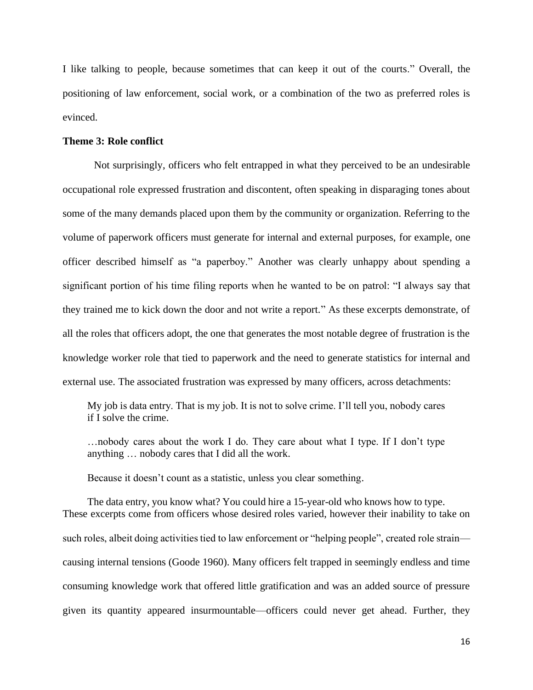I like talking to people, because sometimes that can keep it out of the courts." Overall, the positioning of law enforcement, social work, or a combination of the two as preferred roles is evinced.

# **Theme 3: Role conflict**

Not surprisingly, officers who felt entrapped in what they perceived to be an undesirable occupational role expressed frustration and discontent, often speaking in disparaging tones about some of the many demands placed upon them by the community or organization. Referring to the volume of paperwork officers must generate for internal and external purposes, for example, one officer described himself as "a paperboy." Another was clearly unhappy about spending a significant portion of his time filing reports when he wanted to be on patrol: "I always say that they trained me to kick down the door and not write a report." As these excerpts demonstrate, of all the roles that officers adopt, the one that generates the most notable degree of frustration is the knowledge worker role that tied to paperwork and the need to generate statistics for internal and external use. The associated frustration was expressed by many officers, across detachments:

My job is data entry. That is my job. It is not to solve crime. I'll tell you, nobody cares if I solve the crime.

…nobody cares about the work I do. They care about what I type. If I don't type anything … nobody cares that I did all the work.

Because it doesn't count as a statistic, unless you clear something.

The data entry, you know what? You could hire a 15-year-old who knows how to type. These excerpts come from officers whose desired roles varied, however their inability to take on such roles, albeit doing activities tied to law enforcement or "helping people", created role strain causing internal tensions (Goode 1960). Many officers felt trapped in seemingly endless and time consuming knowledge work that offered little gratification and was an added source of pressure given its quantity appeared insurmountable—officers could never get ahead. Further, they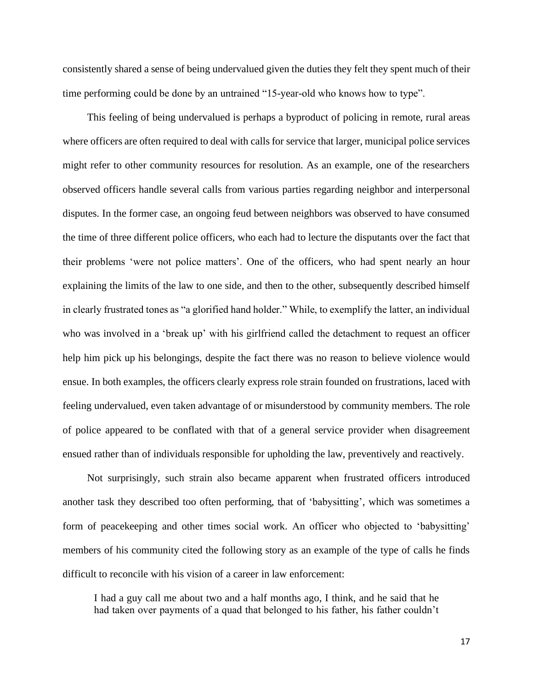consistently shared a sense of being undervalued given the duties they felt they spent much of their time performing could be done by an untrained "15-year-old who knows how to type".

This feeling of being undervalued is perhaps a byproduct of policing in remote, rural areas where officers are often required to deal with calls for service that larger, municipal police services might refer to other community resources for resolution. As an example, one of the researchers observed officers handle several calls from various parties regarding neighbor and interpersonal disputes. In the former case, an ongoing feud between neighbors was observed to have consumed the time of three different police officers, who each had to lecture the disputants over the fact that their problems 'were not police matters'. One of the officers, who had spent nearly an hour explaining the limits of the law to one side, and then to the other, subsequently described himself in clearly frustrated tones as "a glorified hand holder." While, to exemplify the latter, an individual who was involved in a 'break up' with his girlfriend called the detachment to request an officer help him pick up his belongings, despite the fact there was no reason to believe violence would ensue. In both examples, the officers clearly express role strain founded on frustrations, laced with feeling undervalued, even taken advantage of or misunderstood by community members. The role of police appeared to be conflated with that of a general service provider when disagreement ensued rather than of individuals responsible for upholding the law, preventively and reactively.

Not surprisingly, such strain also became apparent when frustrated officers introduced another task they described too often performing, that of 'babysitting', which was sometimes a form of peacekeeping and other times social work. An officer who objected to 'babysitting' members of his community cited the following story as an example of the type of calls he finds difficult to reconcile with his vision of a career in law enforcement:

I had a guy call me about two and a half months ago, I think, and he said that he had taken over payments of a quad that belonged to his father, his father couldn't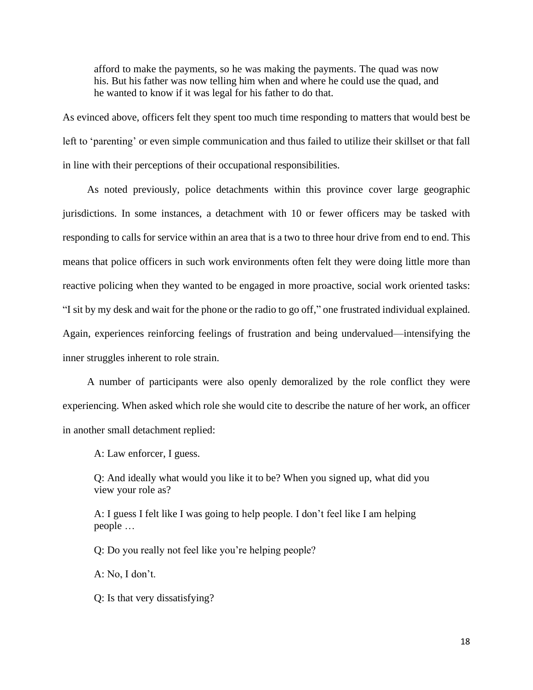afford to make the payments, so he was making the payments. The quad was now his. But his father was now telling him when and where he could use the quad, and he wanted to know if it was legal for his father to do that.

As evinced above, officers felt they spent too much time responding to matters that would best be left to 'parenting' or even simple communication and thus failed to utilize their skillset or that fall in line with their perceptions of their occupational responsibilities.

As noted previously, police detachments within this province cover large geographic jurisdictions. In some instances, a detachment with 10 or fewer officers may be tasked with responding to calls for service within an area that is a two to three hour drive from end to end. This means that police officers in such work environments often felt they were doing little more than reactive policing when they wanted to be engaged in more proactive, social work oriented tasks: "I sit by my desk and wait for the phone or the radio to go off," one frustrated individual explained. Again, experiences reinforcing feelings of frustration and being undervalued—intensifying the inner struggles inherent to role strain.

A number of participants were also openly demoralized by the role conflict they were experiencing. When asked which role she would cite to describe the nature of her work, an officer in another small detachment replied:

A: Law enforcer, I guess.

Q: And ideally what would you like it to be? When you signed up, what did you view your role as?

A: I guess I felt like I was going to help people. I don't feel like I am helping people …

Q: Do you really not feel like you're helping people?

A: No, I don't.

Q: Is that very dissatisfying?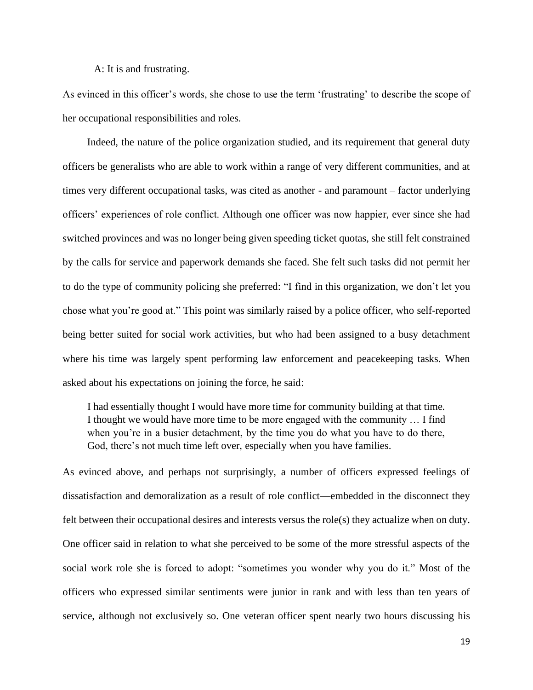A: It is and frustrating.

As evinced in this officer's words, she chose to use the term 'frustrating' to describe the scope of her occupational responsibilities and roles.

Indeed, the nature of the police organization studied, and its requirement that general duty officers be generalists who are able to work within a range of very different communities, and at times very different occupational tasks, was cited as another - and paramount – factor underlying officers' experiences of role conflict. Although one officer was now happier, ever since she had switched provinces and was no longer being given speeding ticket quotas, she still felt constrained by the calls for service and paperwork demands she faced. She felt such tasks did not permit her to do the type of community policing she preferred: "I find in this organization, we don't let you chose what you're good at." This point was similarly raised by a police officer, who self-reported being better suited for social work activities, but who had been assigned to a busy detachment where his time was largely spent performing law enforcement and peacekeeping tasks. When asked about his expectations on joining the force, he said:

I had essentially thought I would have more time for community building at that time. I thought we would have more time to be more engaged with the community … I find when you're in a busier detachment, by the time you do what you have to do there, God, there's not much time left over, especially when you have families.

As evinced above, and perhaps not surprisingly, a number of officers expressed feelings of dissatisfaction and demoralization as a result of role conflict—embedded in the disconnect they felt between their occupational desires and interests versus the role(s) they actualize when on duty. One officer said in relation to what she perceived to be some of the more stressful aspects of the social work role she is forced to adopt: "sometimes you wonder why you do it." Most of the officers who expressed similar sentiments were junior in rank and with less than ten years of service, although not exclusively so. One veteran officer spent nearly two hours discussing his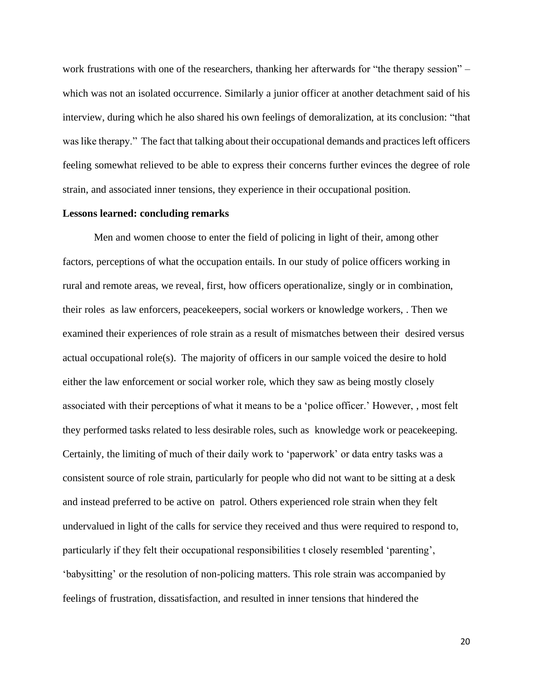work frustrations with one of the researchers, thanking her afterwards for "the therapy session" – which was not an isolated occurrence. Similarly a junior officer at another detachment said of his interview, during which he also shared his own feelings of demoralization, at its conclusion: "that was like therapy." The fact that talking about their occupational demands and practices left officers feeling somewhat relieved to be able to express their concerns further evinces the degree of role strain, and associated inner tensions, they experience in their occupational position.

# **Lessons learned: concluding remarks**

Men and women choose to enter the field of policing in light of their, among other factors, perceptions of what the occupation entails. In our study of police officers working in rural and remote areas, we reveal, first, how officers operationalize, singly or in combination, their roles as law enforcers, peacekeepers, social workers or knowledge workers, . Then we examined their experiences of role strain as a result of mismatches between their desired versus actual occupational role(s). The majority of officers in our sample voiced the desire to hold either the law enforcement or social worker role, which they saw as being mostly closely associated with their perceptions of what it means to be a 'police officer.' However, , most felt they performed tasks related to less desirable roles, such as knowledge work or peacekeeping. Certainly, the limiting of much of their daily work to 'paperwork' or data entry tasks was a consistent source of role strain, particularly for people who did not want to be sitting at a desk and instead preferred to be active on patrol. Others experienced role strain when they felt undervalued in light of the calls for service they received and thus were required to respond to, particularly if they felt their occupational responsibilities t closely resembled 'parenting', 'babysitting' or the resolution of non-policing matters. This role strain was accompanied by feelings of frustration, dissatisfaction, and resulted in inner tensions that hindered the

20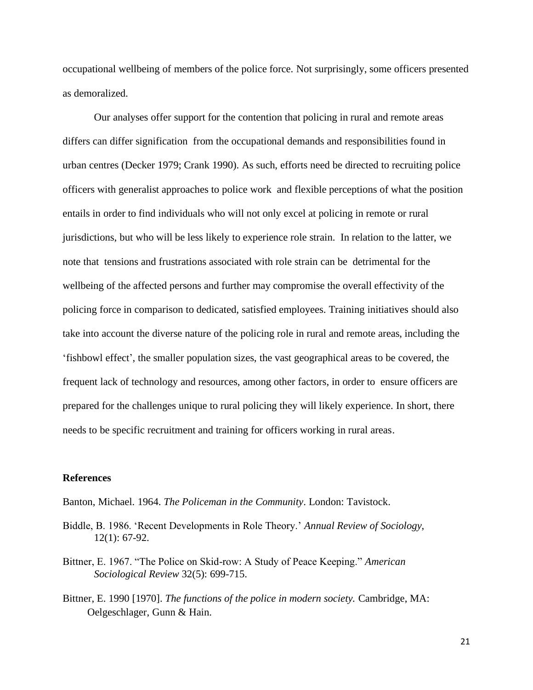occupational wellbeing of members of the police force. Not surprisingly, some officers presented as demoralized.

Our analyses offer support for the contention that policing in rural and remote areas differs can differ signification from the occupational demands and responsibilities found in urban centres (Decker 1979; Crank 1990). As such, efforts need be directed to recruiting police officers with generalist approaches to police work and flexible perceptions of what the position entails in order to find individuals who will not only excel at policing in remote or rural jurisdictions, but who will be less likely to experience role strain. In relation to the latter, we note that tensions and frustrations associated with role strain can be detrimental for the wellbeing of the affected persons and further may compromise the overall effectivity of the policing force in comparison to dedicated, satisfied employees. Training initiatives should also take into account the diverse nature of the policing role in rural and remote areas, including the 'fishbowl effect', the smaller population sizes, the vast geographical areas to be covered, the frequent lack of technology and resources, among other factors, in order to ensure officers are prepared for the challenges unique to rural policing they will likely experience. In short, there needs to be specific recruitment and training for officers working in rural areas.

# **References**

Banton, Michael. 1964. *The Policeman in the Community*. London: Tavistock.

- Biddle, B. 1986. 'Recent Developments in Role Theory.' *Annual Review of Sociology*, 12(1): 67-92.
- Bittner, E. 1967. "The Police on Skid-row: A Study of Peace Keeping." *American Sociological Review* 32(5): 699-715.
- Bittner, E. 1990 [1970]. *The functions of the police in modern society.* Cambridge, MA: Oelgeschlager, Gunn & Hain.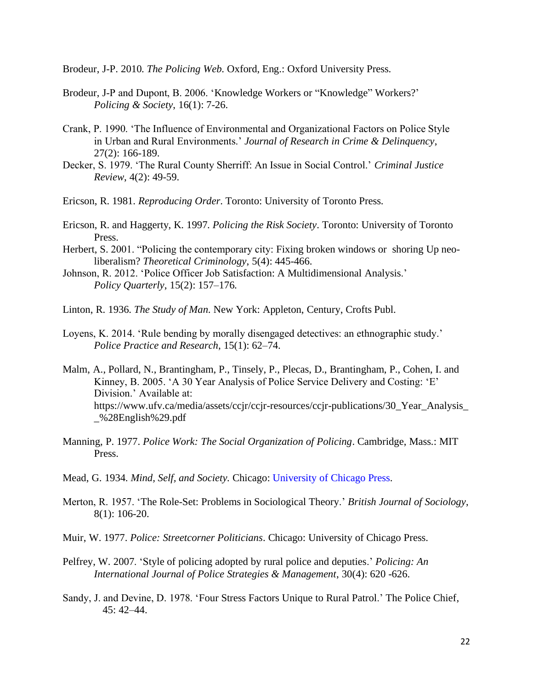Brodeur, J-P. 2010. *The Policing Web*. Oxford, Eng.: Oxford University Press.

- Brodeur, J-P and Dupont, B. 2006. 'Knowledge Workers or "Knowledge" Workers?' *Policing & Society*, 16(1): 7-26.
- Crank, P. 1990. 'The Influence of Environmental and Organizational Factors on Police Style in Urban and Rural Environments.' *Journal of Research in Crime & Delinquency*, 27(2): 166-189.
- Decker, S. 1979. 'The Rural County Sherriff: An Issue in Social Control.' *Criminal Justice Review*, 4(2): 49-59.
- Ericson, R. 1981. *Reproducing Order*. Toronto: University of Toronto Press.
- Ericson, R. and Haggerty, K. 1997. *Policing the Risk Society*. Toronto: University of Toronto Press.
- Herbert, S. 2001. "Policing the contemporary city: Fixing broken windows or shoring Up neoliberalism? *Theoretical Criminology*, 5(4): 445-466.
- Johnson, R. 2012. 'Police Officer Job Satisfaction: A Multidimensional Analysis.' *Policy Quarterly*, 15(2): 157–176.
- Linton, R. 1936. *The Study of Man*. New York: Appleton, Century, Crofts Publ.
- Loyens, K. 2014. 'Rule bending by morally disengaged detectives: an ethnographic study.' *Police Practice and Research*, 15(1): 62–74.
- Malm, A., Pollard, N., Brantingham, P., Tinsely, P., Plecas, D., Brantingham, P., Cohen, I. and Kinney, B. 2005. 'A 30 Year Analysis of Police Service Delivery and Costing: 'E' Division.' Available at: https://www.ufv.ca/media/assets/ccjr/ccjr-resources/ccjr-publications/30\_Year\_Analysis\_ \_%28English%29.pdf
- Manning, P. 1977. *Police Work: The Social Organization of Policing*. Cambridge, Mass.: MIT Press.
- Mead, G. 1934. *Mind, Self, and Society.* Chicago: [University of Chicago Press.](https://en.wikipedia.org/wiki/University_of_Chicago_Press)
- Merton, R. 1957. 'The Role-Set: Problems in Sociological Theory.' *British Journal of Sociology*, 8(1): 106-20.
- Muir, W. 1977. *Police: Streetcorner Politicians*. Chicago: University of Chicago Press.
- Pelfrey, W. 2007. 'Style of policing adopted by rural police and deputies.' *Policing: An International Journal of Police Strategies & Management*, 30(4): 620 -626.
- Sandy, J. and Devine, D. 1978. 'Four Stress Factors Unique to Rural Patrol.' The Police Chief, 45: 42–44.